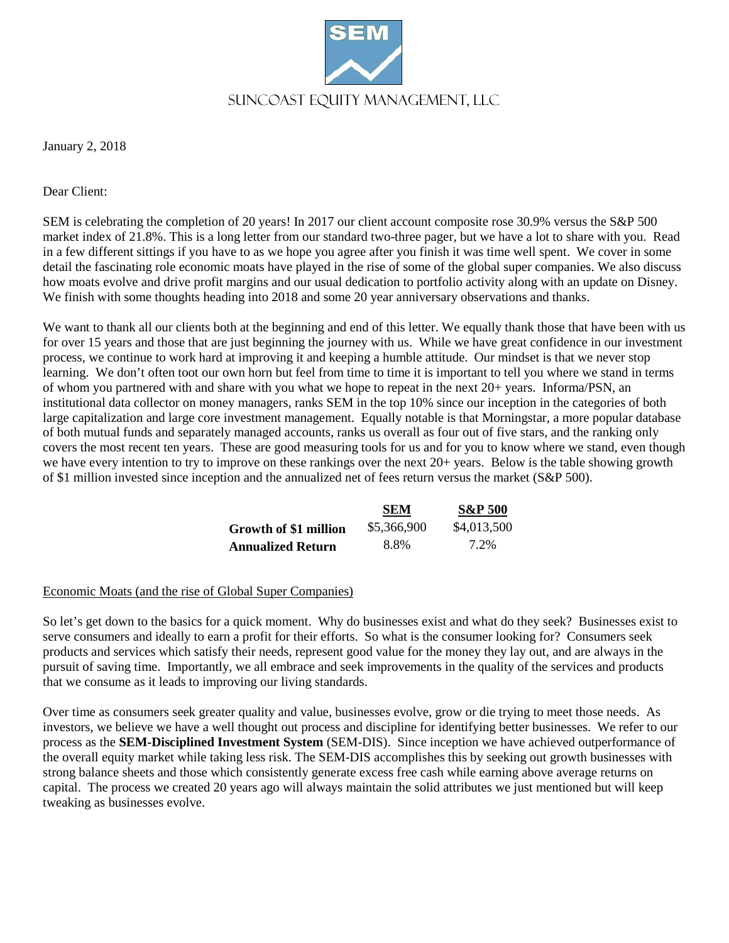

January 2, 2018

Dear Client:

SEM is celebrating the completion of 20 years! In 2017 our client account composite rose 30.9% versus the S&P 500 market index of 21.8%. This is a long letter from our standard two-three pager, but we have a lot to share with you. Read in a few different sittings if you have to as we hope you agree after you finish it was time well spent. We cover in some detail the fascinating role economic moats have played in the rise of some of the global super companies. We also discuss how moats evolve and drive profit margins and our usual dedication to portfolio activity along with an update on Disney. We finish with some thoughts heading into 2018 and some 20 year anniversary observations and thanks.

We want to thank all our clients both at the beginning and end of this letter. We equally thank those that have been with us for over 15 years and those that are just beginning the journey with us. While we have great confidence in our investment process, we continue to work hard at improving it and keeping a humble attitude. Our mindset is that we never stop learning. We don't often toot our own horn but feel from time to time it is important to tell you where we stand in terms of whom you partnered with and share with you what we hope to repeat in the next 20+ years. Informa/PSN, an institutional data collector on money managers, ranks SEM in the top 10% since our inception in the categories of both large capitalization and large core investment management. Equally notable is that Morningstar, a more popular database of both mutual funds and separately managed accounts, ranks us overall as four out of five stars, and the ranking only covers the most recent ten years. These are good measuring tools for us and for you to know where we stand, even though we have every intention to try to improve on these rankings over the next 20+ years. Below is the table showing growth of \$1 million invested since inception and the annualized net of fees return versus the market (S&P 500).

|                       | <b>SEM</b>  | <b>S&amp;P 500</b> |
|-----------------------|-------------|--------------------|
| Growth of \$1 million | \$5,366,900 | \$4,013,500        |
| Annualized Return     | 8.8%        | 7.2%               |

## Economic Moats (and the rise of Global Super Companies)

So let's get down to the basics for a quick moment. Why do businesses exist and what do they seek? Businesses exist to serve consumers and ideally to earn a profit for their efforts. So what is the consumer looking for? Consumers seek products and services which satisfy their needs, represent good value for the money they lay out, and are always in the pursuit of saving time. Importantly, we all embrace and seek improvements in the quality of the services and products that we consume as it leads to improving our living standards.

Over time as consumers seek greater quality and value, businesses evolve, grow or die trying to meet those needs. As investors, we believe we have a well thought out process and discipline for identifying better businesses. We refer to our process as the **SEM-Disciplined Investment System** (SEM-DIS). Since inception we have achieved outperformance of the overall equity market while taking less risk. The SEM-DIS accomplishes this by seeking out growth businesses with strong balance sheets and those which consistently generate excess free cash while earning above average returns on capital. The process we created 20 years ago will always maintain the solid attributes we just mentioned but will keep tweaking as businesses evolve.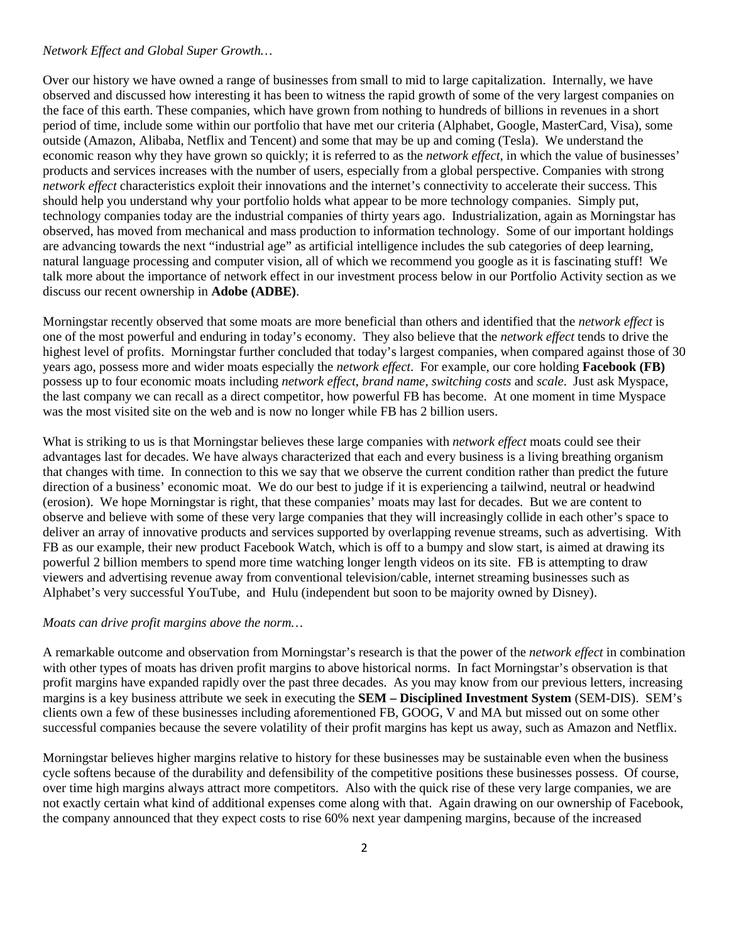## *Network Effect and Global Super Growth…*

Over our history we have owned a range of businesses from small to mid to large capitalization. Internally, we have observed and discussed how interesting it has been to witness the rapid growth of some of the very largest companies on the face of this earth. These companies, which have grown from nothing to hundreds of billions in revenues in a short period of time, include some within our portfolio that have met our criteria (Alphabet, Google, MasterCard, Visa), some outside (Amazon, Alibaba, Netflix and Tencent) and some that may be up and coming (Tesla). We understand the economic reason why they have grown so quickly; it is referred to as the *network effect,* in which the value of businesses' products and services increases with the number of users, especially from a global perspective. Companies with strong *network effect* characteristics exploit their innovations and the internet's connectivity to accelerate their success. This should help you understand why your portfolio holds what appear to be more technology companies. Simply put, technology companies today are the industrial companies of thirty years ago. Industrialization, again as Morningstar has observed, has moved from mechanical and mass production to information technology. Some of our important holdings are advancing towards the next "industrial age" as artificial intelligence includes the sub categories of deep learning, natural language processing and computer vision, all of which we recommend you google as it is fascinating stuff! We talk more about the importance of network effect in our investment process below in our Portfolio Activity section as we discuss our recent ownership in **Adobe (ADBE)**.

Morningstar recently observed that some moats are more beneficial than others and identified that the *network effect* is one of the most powerful and enduring in today's economy. They also believe that the *network effect* tends to drive the highest level of profits. Morningstar further concluded that today's largest companies, when compared against those of 30 years ago, possess more and wider moats especially the *network effect*. For example, our core holding **Facebook (FB)** possess up to four economic moats including *network effect*, *brand name*, *switching costs* and *scale*. Just ask Myspace, the last company we can recall as a direct competitor, how powerful FB has become. At one moment in time Myspace was the most visited site on the web and is now no longer while FB has 2 billion users.

What is striking to us is that Morningstar believes these large companies with *network effect* moats could see their advantages last for decades. We have always characterized that each and every business is a living breathing organism that changes with time. In connection to this we say that we observe the current condition rather than predict the future direction of a business' economic moat. We do our best to judge if it is experiencing a tailwind, neutral or headwind (erosion). We hope Morningstar is right, that these companies' moats may last for decades. But we are content to observe and believe with some of these very large companies that they will increasingly collide in each other's space to deliver an array of innovative products and services supported by overlapping revenue streams, such as advertising. With FB as our example, their new product Facebook Watch, which is off to a bumpy and slow start, is aimed at drawing its powerful 2 billion members to spend more time watching longer length videos on its site. FB is attempting to draw viewers and advertising revenue away from conventional television/cable, internet streaming businesses such as Alphabet's very successful YouTube, and Hulu (independent but soon to be majority owned by Disney).

## *Moats can drive profit margins above the norm…*

A remarkable outcome and observation from Morningstar's research is that the power of the *network effect* in combination with other types of moats has driven profit margins to above historical norms. In fact Morningstar's observation is that profit margins have expanded rapidly over the past three decades. As you may know from our previous letters, increasing margins is a key business attribute we seek in executing the **SEM – Disciplined Investment System** (SEM-DIS). SEM's clients own a few of these businesses including aforementioned FB, GOOG, V and MA but missed out on some other successful companies because the severe volatility of their profit margins has kept us away, such as Amazon and Netflix.

Morningstar believes higher margins relative to history for these businesses may be sustainable even when the business cycle softens because of the durability and defensibility of the competitive positions these businesses possess. Of course, over time high margins always attract more competitors. Also with the quick rise of these very large companies, we are not exactly certain what kind of additional expenses come along with that. Again drawing on our ownership of Facebook, the company announced that they expect costs to rise 60% next year dampening margins, because of the increased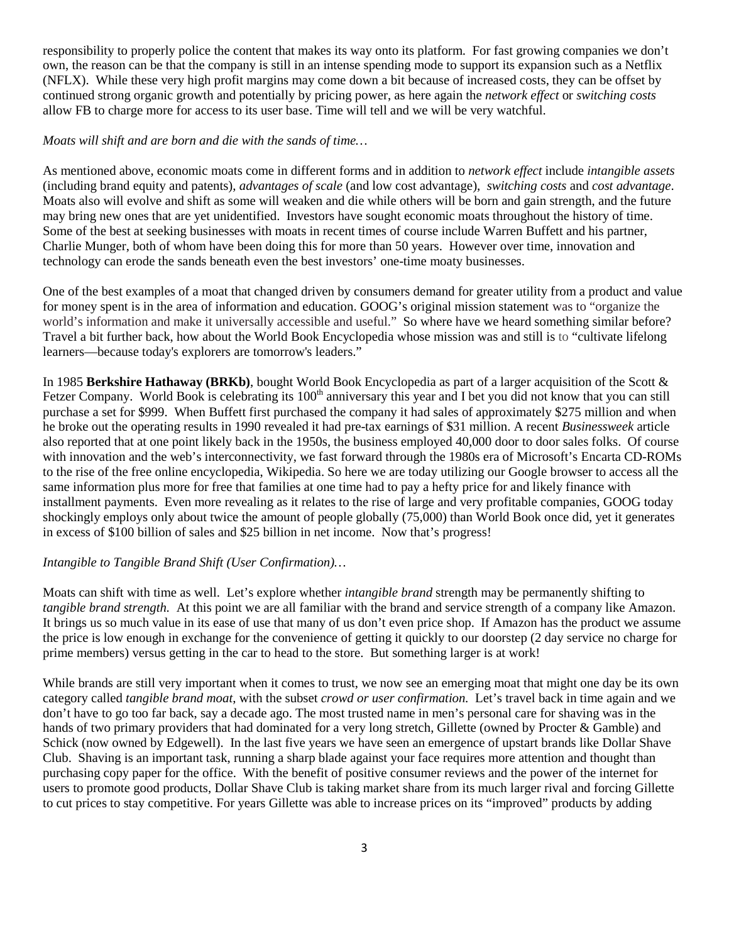responsibility to properly police the content that makes its way onto its platform. For fast growing companies we don't own, the reason can be that the company is still in an intense spending mode to support its expansion such as a Netflix (NFLX). While these very high profit margins may come down a bit because of increased costs, they can be offset by continued strong organic growth and potentially by pricing power, as here again the *network effect* or *switching costs* allow FB to charge more for access to its user base. Time will tell and we will be very watchful.

## *Moats will shift and are born and die with the sands of time…*

As mentioned above, economic moats come in different forms and in addition to *network effect* include *intangible assets* (including brand equity and patents), *advantages of scale* (and low cost advantage), *switching costs* and *cost advantage*. Moats also will evolve and shift as some will weaken and die while others will be born and gain strength, and the future may bring new ones that are yet unidentified. Investors have sought economic moats throughout the history of time. Some of the best at seeking businesses with moats in recent times of course include Warren Buffett and his partner, Charlie Munger, both of whom have been doing this for more than 50 years. However over time, innovation and technology can erode the sands beneath even the best investors' one-time moaty businesses.

One of the best examples of a moat that changed driven by consumers demand for greater utility from a product and value for money spent is in the area of information and education. GOOG's original mission statement was to "organize the world's information and make it universally accessible and useful." So where have we heard something similar before? Travel a bit further back, how about the World Book Encyclopedia whose mission was and still is to "cultivate lifelong learners—because today's explorers are tomorrow's leaders."

In 1985 **Berkshire Hathaway (BRKb)**, bought World Book Encyclopedia as part of a larger acquisition of the Scott & Fetzer Company. World Book is celebrating its  $100<sup>th</sup>$  anniversary this year and I bet you did not know that you can still purchase a set for \$999. When Buffett first purchased the company it had sales of approximately \$275 million and when he broke out the operating results in 1990 revealed it had pre-tax earnings of \$31 million. A recent *Businessweek* article also reported that at one point likely back in the 1950s, the business employed 40,000 door to door sales folks. Of course with innovation and the web's interconnectivity, we fast forward through the 1980s era of Microsoft's Encarta CD-ROMs to the rise of the free online encyclopedia, Wikipedia. So here we are today utilizing our Google browser to access all the same information plus more for free that families at one time had to pay a hefty price for and likely finance with installment payments. Even more revealing as it relates to the rise of large and very profitable companies, GOOG today shockingly employs only about twice the amount of people globally (75,000) than World Book once did, yet it generates in excess of \$100 billion of sales and \$25 billion in net income. Now that's progress!

## *Intangible to Tangible Brand Shift (User Confirmation)…*

Moats can shift with time as well. Let's explore whether *intangible brand* strength may be permanently shifting to *tangible brand strength.* At this point we are all familiar with the brand and service strength of a company like Amazon. It brings us so much value in its ease of use that many of us don't even price shop. If Amazon has the product we assume the price is low enough in exchange for the convenience of getting it quickly to our doorstep (2 day service no charge for prime members) versus getting in the car to head to the store. But something larger is at work!

While brands are still very important when it comes to trust, we now see an emerging moat that might one day be its own category called *tangible brand moat*, with the subset *crowd or user confirmation.* Let's travel back in time again and we don't have to go too far back, say a decade ago. The most trusted name in men's personal care for shaving was in the hands of two primary providers that had dominated for a very long stretch, Gillette (owned by Procter & Gamble) and Schick (now owned by Edgewell). In the last five years we have seen an emergence of upstart brands like Dollar Shave Club. Shaving is an important task, running a sharp blade against your face requires more attention and thought than purchasing copy paper for the office. With the benefit of positive consumer reviews and the power of the internet for users to promote good products, Dollar Shave Club is taking market share from its much larger rival and forcing Gillette to cut prices to stay competitive. For years Gillette was able to increase prices on its "improved" products by adding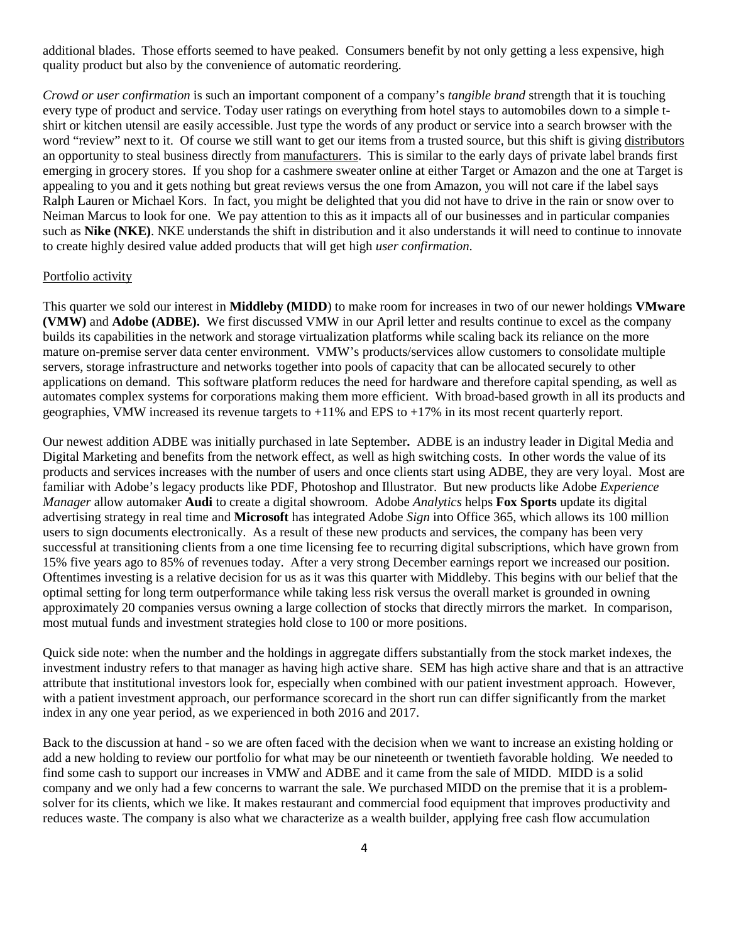additional blades. Those efforts seemed to have peaked. Consumers benefit by not only getting a less expensive, high quality product but also by the convenience of automatic reordering.

*Crowd or user confirmation* is such an important component of a company's *tangible brand* strength that it is touching every type of product and service. Today user ratings on everything from hotel stays to automobiles down to a simple tshirt or kitchen utensil are easily accessible. Just type the words of any product or service into a search browser with the word "review" next to it. Of course we still want to get our items from a trusted source, but this shift is giving distributors an opportunity to steal business directly from manufacturers. This is similar to the early days of private label brands first emerging in grocery stores. If you shop for a cashmere sweater online at either Target or Amazon and the one at Target is appealing to you and it gets nothing but great reviews versus the one from Amazon, you will not care if the label says Ralph Lauren or Michael Kors. In fact, you might be delighted that you did not have to drive in the rain or snow over to Neiman Marcus to look for one. We pay attention to this as it impacts all of our businesses and in particular companies such as **Nike (NKE)**. NKE understands the shift in distribution and it also understands it will need to continue to innovate to create highly desired value added products that will get high *user confirmation*.

#### Portfolio activity

This quarter we sold our interest in **Middleby (MIDD**) to make room for increases in two of our newer holdings **VMware (VMW)** and **Adobe (ADBE).** We first discussed VMW in our April letter and results continue to excel as the company builds its capabilities in the network and storage virtualization platforms while scaling back its reliance on the more mature on-premise server data center environment. VMW's products/services allow customers to consolidate multiple servers, storage infrastructure and networks together into pools of capacity that can be allocated securely to other applications on demand. This software platform reduces the need for hardware and therefore capital spending, as well as automates complex systems for corporations making them more efficient. With broad-based growth in all its products and geographies, VMW increased its revenue targets to  $+11\%$  and EPS to  $+17\%$  in its most recent quarterly report.

Our newest addition ADBE was initially purchased in late September**.** ADBE is an industry leader in Digital Media and Digital Marketing and benefits from the network effect, as well as high switching costs. In other words the value of its products and services increases with the number of users and once clients start using ADBE, they are very loyal. Most are familiar with Adobe's legacy products like PDF, Photoshop and Illustrator. But new products like Adobe *Experience Manager* allow automaker **Audi** to create a digital showroom. Adobe *Analytics* helps **Fox Sports** update its digital advertising strategy in real time and **Microsoft** has integrated Adobe *Sign* into Office 365, which allows its 100 million users to sign documents electronically. As a result of these new products and services, the company has been very successful at transitioning clients from a one time licensing fee to recurring digital subscriptions, which have grown from 15% five years ago to 85% of revenues today. After a very strong December earnings report we increased our position. Oftentimes investing is a relative decision for us as it was this quarter with Middleby. This begins with our belief that the optimal setting for long term outperformance while taking less risk versus the overall market is grounded in owning approximately 20 companies versus owning a large collection of stocks that directly mirrors the market. In comparison, most mutual funds and investment strategies hold close to 100 or more positions.

Quick side note: when the number and the holdings in aggregate differs substantially from the stock market indexes, the investment industry refers to that manager as having high active share. SEM has high active share and that is an attractive attribute that institutional investors look for, especially when combined with our patient investment approach. However, with a patient investment approach, our performance scorecard in the short run can differ significantly from the market index in any one year period, as we experienced in both 2016 and 2017.

Back to the discussion at hand - so we are often faced with the decision when we want to increase an existing holding or add a new holding to review our portfolio for what may be our nineteenth or twentieth favorable holding. We needed to find some cash to support our increases in VMW and ADBE and it came from the sale of MIDD. MIDD is a solid company and we only had a few concerns to warrant the sale. We purchased MIDD on the premise that it is a problemsolver for its clients, which we like. It makes restaurant and commercial food equipment that improves productivity and reduces waste. The company is also what we characterize as a wealth builder, applying free cash flow accumulation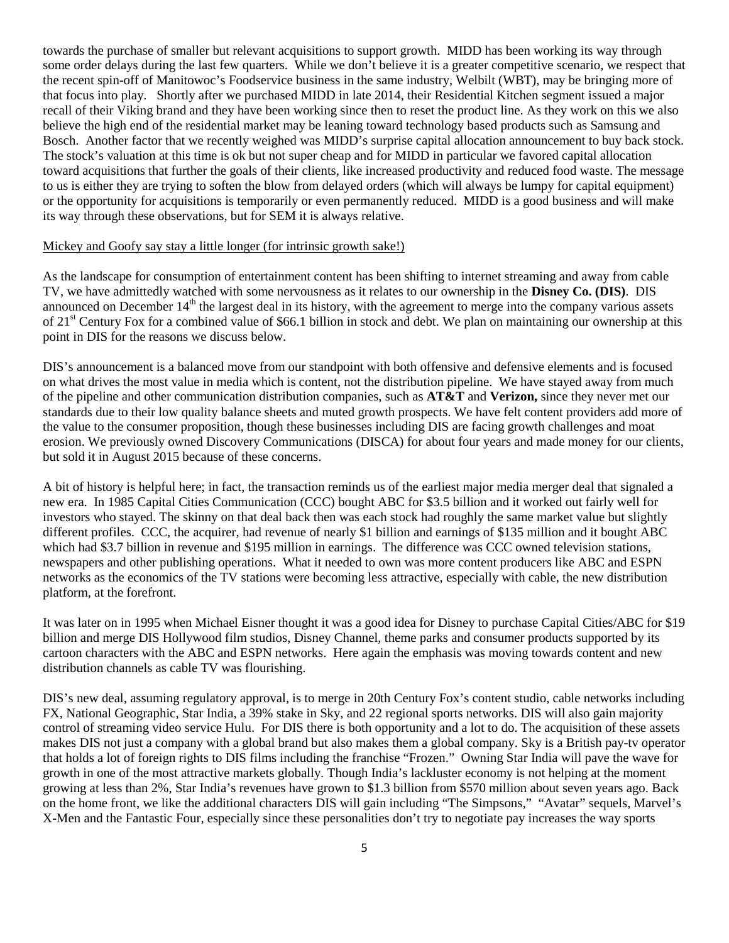towards the purchase of smaller but relevant acquisitions to support growth. MIDD has been working its way through some order delays during the last few quarters. While we don't believe it is a greater competitive scenario, we respect that the recent spin-off of Manitowoc's Foodservice business in the same industry, Welbilt (WBT), may be bringing more of that focus into play. Shortly after we purchased MIDD in late 2014, their Residential Kitchen segment issued a major recall of their Viking brand and they have been working since then to reset the product line. As they work on this we also believe the high end of the residential market may be leaning toward technology based products such as Samsung and Bosch. Another factor that we recently weighed was MIDD's surprise capital allocation announcement to buy back stock. The stock's valuation at this time is ok but not super cheap and for MIDD in particular we favored capital allocation toward acquisitions that further the goals of their clients, like increased productivity and reduced food waste. The message to us is either they are trying to soften the blow from delayed orders (which will always be lumpy for capital equipment) or the opportunity for acquisitions is temporarily or even permanently reduced. MIDD is a good business and will make its way through these observations, but for SEM it is always relative.

### Mickey and Goofy say stay a little longer (for intrinsic growth sake!)

As the landscape for consumption of entertainment content has been shifting to internet streaming and away from cable TV, we have admittedly watched with some nervousness as it relates to our ownership in the **Disney Co. (DIS)**. DIS announced on December  $14<sup>th</sup>$  the largest deal in its history, with the agreement to merge into the company various assets of 21st Century Fox for a combined value of \$66.1 billion in stock and debt. We plan on maintaining our ownership at this point in DIS for the reasons we discuss below.

DIS's announcement is a balanced move from our standpoint with both offensive and defensive elements and is focused on what drives the most value in media which is content, not the distribution pipeline. We have stayed away from much of the pipeline and other communication distribution companies, such as **AT&T** and **Verizon,** since they never met our standards due to their low quality balance sheets and muted growth prospects. We have felt content providers add more of the value to the consumer proposition, though these businesses including DIS are facing growth challenges and moat erosion. We previously owned Discovery Communications (DISCA) for about four years and made money for our clients, but sold it in August 2015 because of these concerns.

A bit of history is helpful here; in fact, the transaction reminds us of the earliest major media merger deal that signaled a new era. In 1985 Capital Cities Communication (CCC) bought ABC for \$3.5 billion and it worked out fairly well for investors who stayed. The skinny on that deal back then was each stock had roughly the same market value but slightly different profiles. CCC, the acquirer, had revenue of nearly \$1 billion and earnings of \$135 million and it bought ABC which had \$3.7 billion in revenue and \$195 million in earnings. The difference was CCC owned television stations, newspapers and other publishing operations. What it needed to own was more content producers like ABC and ESPN networks as the economics of the TV stations were becoming less attractive, especially with cable, the new distribution platform, at the forefront.

It was later on in 1995 when Michael Eisner thought it was a good idea for Disney to purchase Capital Cities/ABC for \$19 billion and merge DIS Hollywood film studios, Disney Channel, theme parks and consumer products supported by its cartoon characters with the ABC and ESPN networks. Here again the emphasis was moving towards content and new distribution channels as cable TV was flourishing.

DIS's new deal, assuming regulatory approval, is to merge in 20th Century Fox's content studio, cable networks including FX, National Geographic, Star India, a 39% stake in Sky, and 22 regional sports networks. DIS will also gain majority control of streaming video service Hulu. For DIS there is both opportunity and a lot to do. The acquisition of these assets makes DIS not just a company with a global brand but also makes them a global company. Sky is a British pay-tv operator that holds a lot of foreign rights to DIS films including the franchise "Frozen." Owning Star India will pave the wave for growth in one of the most attractive markets globally. Though India's lackluster economy is not helping at the moment growing at less than 2%, Star India's revenues have grown to \$1.3 billion from \$570 million about seven years ago. Back on the home front, we like the additional characters DIS will gain including "The Simpsons," "Avatar" sequels, Marvel's X-Men and the Fantastic Four, especially since these personalities don't try to negotiate pay increases the way sports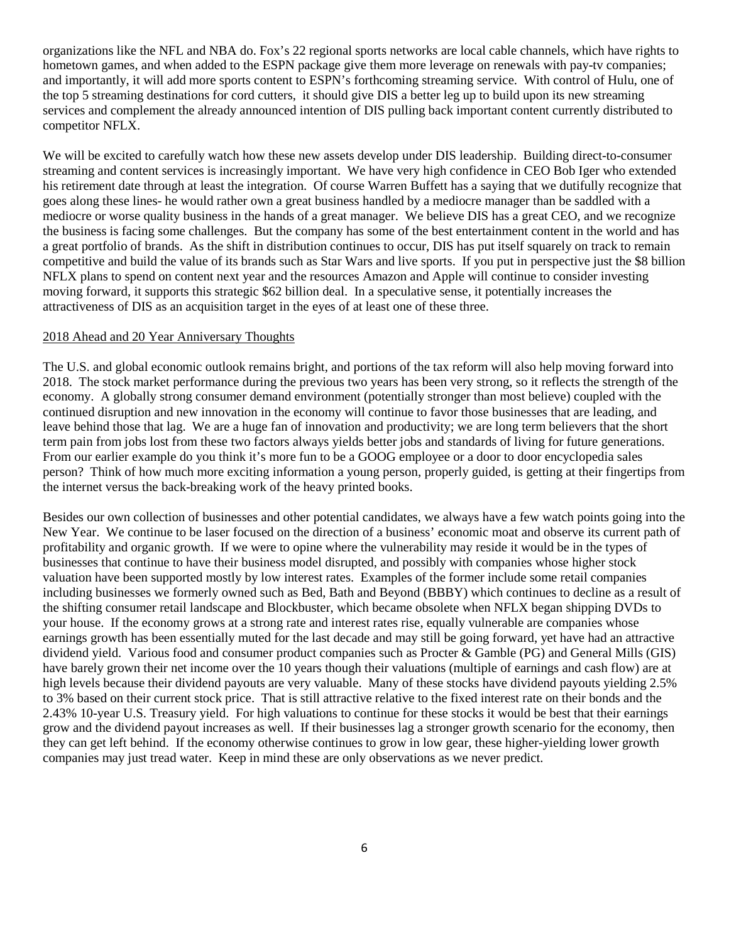organizations like the NFL and NBA do. Fox's 22 regional sports networks are local cable channels, which have rights to hometown games, and when added to the ESPN package give them more leverage on renewals with pay-tv companies; and importantly, it will add more sports content to ESPN's forthcoming streaming service. With control of Hulu, one of the top 5 streaming destinations for cord cutters, it should give DIS a better leg up to build upon its new streaming services and complement the already announced intention of DIS pulling back important content currently distributed to competitor NFLX.

We will be excited to carefully watch how these new assets develop under DIS leadership. Building direct-to-consumer streaming and content services is increasingly important. We have very high confidence in CEO Bob Iger who extended his retirement date through at least the integration. Of course Warren Buffett has a saying that we dutifully recognize that goes along these lines- he would rather own a great business handled by a mediocre manager than be saddled with a mediocre or worse quality business in the hands of a great manager. We believe DIS has a great CEO, and we recognize the business is facing some challenges. But the company has some of the best entertainment content in the world and has a great portfolio of brands. As the shift in distribution continues to occur, DIS has put itself squarely on track to remain competitive and build the value of its brands such as Star Wars and live sports. If you put in perspective just the \$8 billion NFLX plans to spend on content next year and the resources Amazon and Apple will continue to consider investing moving forward, it supports this strategic \$62 billion deal. In a speculative sense, it potentially increases the attractiveness of DIS as an acquisition target in the eyes of at least one of these three.

## 2018 Ahead and 20 Year Anniversary Thoughts

The U.S. and global economic outlook remains bright, and portions of the tax reform will also help moving forward into 2018. The stock market performance during the previous two years has been very strong, so it reflects the strength of the economy. A globally strong consumer demand environment (potentially stronger than most believe) coupled with the continued disruption and new innovation in the economy will continue to favor those businesses that are leading, and leave behind those that lag. We are a huge fan of innovation and productivity; we are long term believers that the short term pain from jobs lost from these two factors always yields better jobs and standards of living for future generations. From our earlier example do you think it's more fun to be a GOOG employee or a door to door encyclopedia sales person? Think of how much more exciting information a young person, properly guided, is getting at their fingertips from the internet versus the back-breaking work of the heavy printed books.

Besides our own collection of businesses and other potential candidates, we always have a few watch points going into the New Year. We continue to be laser focused on the direction of a business' economic moat and observe its current path of profitability and organic growth. If we were to opine where the vulnerability may reside it would be in the types of businesses that continue to have their business model disrupted, and possibly with companies whose higher stock valuation have been supported mostly by low interest rates. Examples of the former include some retail companies including businesses we formerly owned such as Bed, Bath and Beyond (BBBY) which continues to decline as a result of the shifting consumer retail landscape and Blockbuster, which became obsolete when NFLX began shipping DVDs to your house. If the economy grows at a strong rate and interest rates rise, equally vulnerable are companies whose earnings growth has been essentially muted for the last decade and may still be going forward, yet have had an attractive dividend yield. Various food and consumer product companies such as Procter & Gamble (PG) and General Mills (GIS) have barely grown their net income over the 10 years though their valuations (multiple of earnings and cash flow) are at high levels because their dividend payouts are very valuable. Many of these stocks have dividend payouts yielding 2.5% to 3% based on their current stock price. That is still attractive relative to the fixed interest rate on their bonds and the 2.43% 10-year U.S. Treasury yield. For high valuations to continue for these stocks it would be best that their earnings grow and the dividend payout increases as well. If their businesses lag a stronger growth scenario for the economy, then they can get left behind. If the economy otherwise continues to grow in low gear, these higher-yielding lower growth companies may just tread water. Keep in mind these are only observations as we never predict.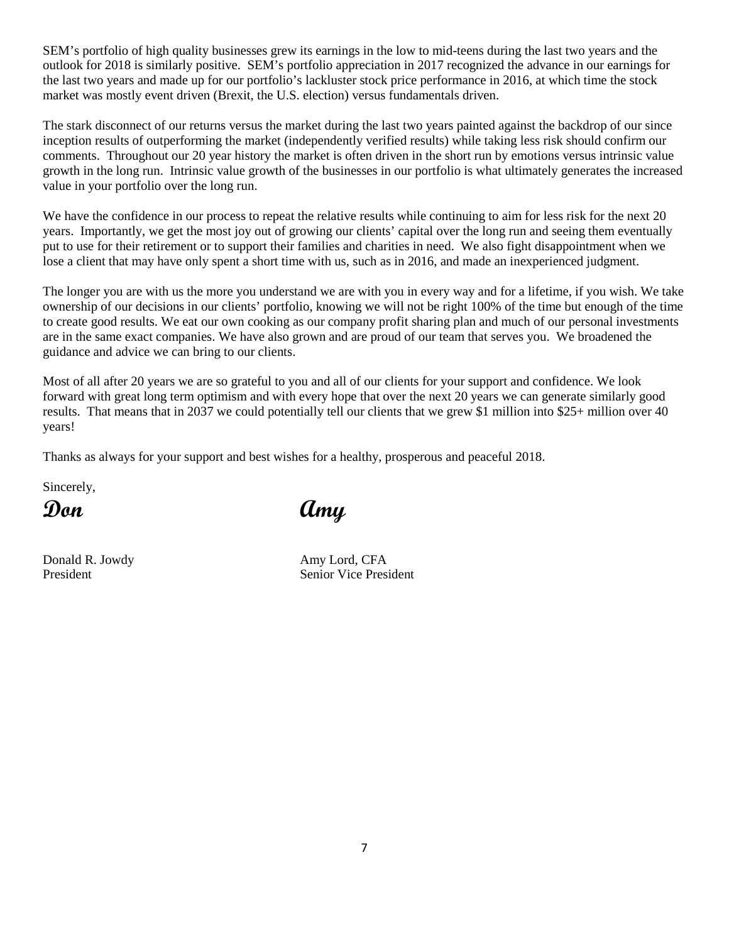SEM's portfolio of high quality businesses grew its earnings in the low to mid-teens during the last two years and the outlook for 2018 is similarly positive. SEM's portfolio appreciation in 2017 recognized the advance in our earnings for the last two years and made up for our portfolio's lackluster stock price performance in 2016, at which time the stock market was mostly event driven (Brexit, the U.S. election) versus fundamentals driven.

The stark disconnect of our returns versus the market during the last two years painted against the backdrop of our since inception results of outperforming the market (independently verified results) while taking less risk should confirm our comments. Throughout our 20 year history the market is often driven in the short run by emotions versus intrinsic value growth in the long run. Intrinsic value growth of the businesses in our portfolio is what ultimately generates the increased value in your portfolio over the long run.

We have the confidence in our process to repeat the relative results while continuing to aim for less risk for the next 20 years. Importantly, we get the most joy out of growing our clients' capital over the long run and seeing them eventually put to use for their retirement or to support their families and charities in need. We also fight disappointment when we lose a client that may have only spent a short time with us, such as in 2016, and made an inexperienced judgment.

The longer you are with us the more you understand we are with you in every way and for a lifetime, if you wish. We take ownership of our decisions in our clients' portfolio, knowing we will not be right 100% of the time but enough of the time to create good results. We eat our own cooking as our company profit sharing plan and much of our personal investments are in the same exact companies. We have also grown and are proud of our team that serves you. We broadened the guidance and advice we can bring to our clients.

Most of all after 20 years we are so grateful to you and all of our clients for your support and confidence. We look forward with great long term optimism and with every hope that over the next 20 years we can generate similarly good results. That means that in 2037 we could potentially tell our clients that we grew \$1 million into \$25+ million over 40 years!

Thanks as always for your support and best wishes for a healthy, prosperous and peaceful 2018.

Sincerely,

Donald R. Jowdy Amy Lord, CFA

**Don Amy**

President Senior Vice President